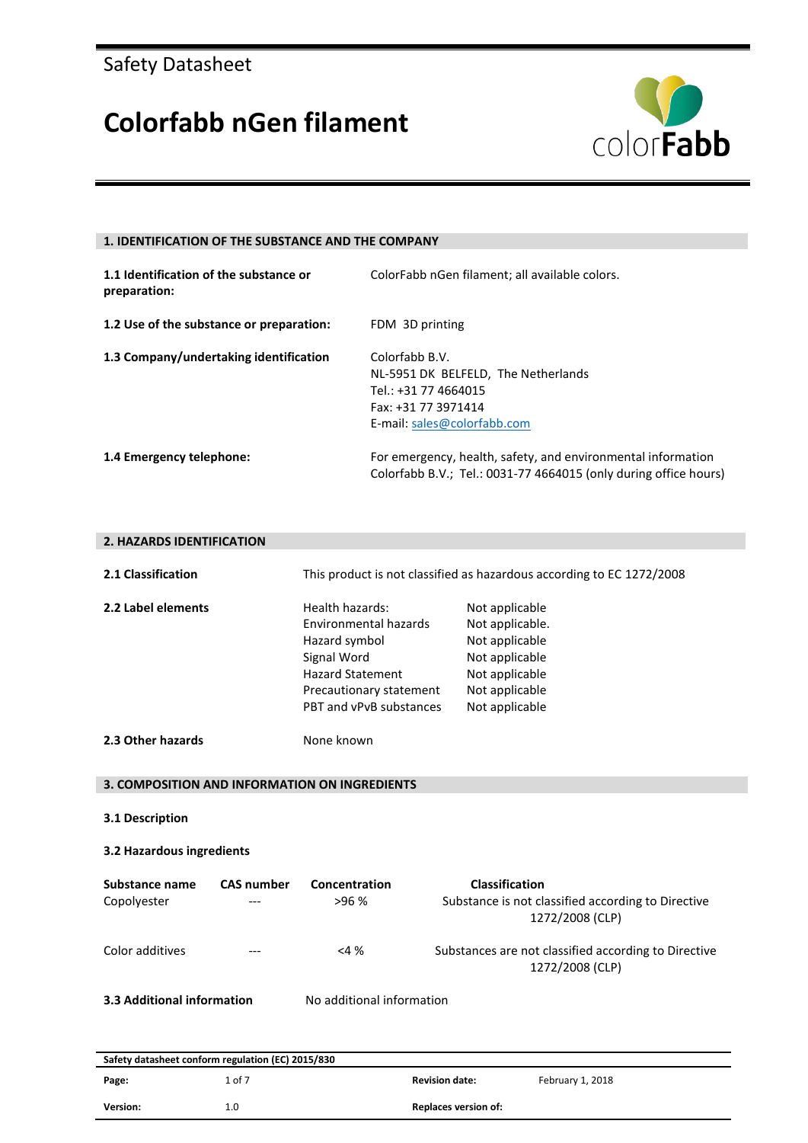### **Colorfabb nGen filament**



#### **1. IDENTIFICATION OF THE SUBSTANCE AND THE COMPANY**

| 1.1 Identification of the substance or<br>preparation: | ColorFabb nGen filament; all available colors.                                                                                      |
|--------------------------------------------------------|-------------------------------------------------------------------------------------------------------------------------------------|
| 1.2 Use of the substance or preparation:               | FDM 3D printing                                                                                                                     |
| 1.3 Company/undertaking identification                 | Colorfabb B.V.<br>NL-5951 DK BELFELD, The Netherlands<br>Tel.: +31 77 4664015<br>Fax: +31 77 3971414<br>E-mail: sales@colorfabb.com |
| 1.4 Emergency telephone:                               | For emergency, health, safety, and environmental information<br>Colorfabb B.V.; Tel.: 0031-77 4664015 (only during office hours)    |

#### **2. HAZARDS IDENTIFICATION**

| 2.1 Classification                           |                   |                                                                                                                                                                  | This product is not classified as hazardous according to EC 1272/2008                                                       |
|----------------------------------------------|-------------------|------------------------------------------------------------------------------------------------------------------------------------------------------------------|-----------------------------------------------------------------------------------------------------------------------------|
| 2.2 Label elements                           |                   | Health hazards:<br><b>Environmental hazards</b><br>Hazard symbol<br>Signal Word<br><b>Hazard Statement</b><br>Precautionary statement<br>PBT and vPvB substances | Not applicable<br>Not applicable.<br>Not applicable<br>Not applicable<br>Not applicable<br>Not applicable<br>Not applicable |
| 2.3 Other hazards                            |                   | None known                                                                                                                                                       |                                                                                                                             |
|                                              |                   | 3. COMPOSITION AND INFORMATION ON INGREDIENTS                                                                                                                    |                                                                                                                             |
| 3.1 Description<br>3.2 Hazardous ingredients |                   |                                                                                                                                                                  |                                                                                                                             |
|                                              |                   |                                                                                                                                                                  |                                                                                                                             |
| Substance name<br>Copolyester                | <b>CAS number</b> | Concentration<br>>96%                                                                                                                                            | Classification<br>Substance is not classified according to Directive<br>1272/2008 (CLP)                                     |
| Color additives                              |                   | $<$ 4 %                                                                                                                                                          | Substances are not classified according to Directive<br>1272/2008 (CLP)                                                     |
| 3.3 Additional information                   |                   | No additional information                                                                                                                                        |                                                                                                                             |

|          | Safety datasheet conform regulation (EC) 2015/830 |                             |                  |
|----------|---------------------------------------------------|-----------------------------|------------------|
| Page:    | 1 of 7                                            | <b>Revision date:</b>       | February 1, 2018 |
| Version: | 1.0                                               | <b>Replaces version of:</b> |                  |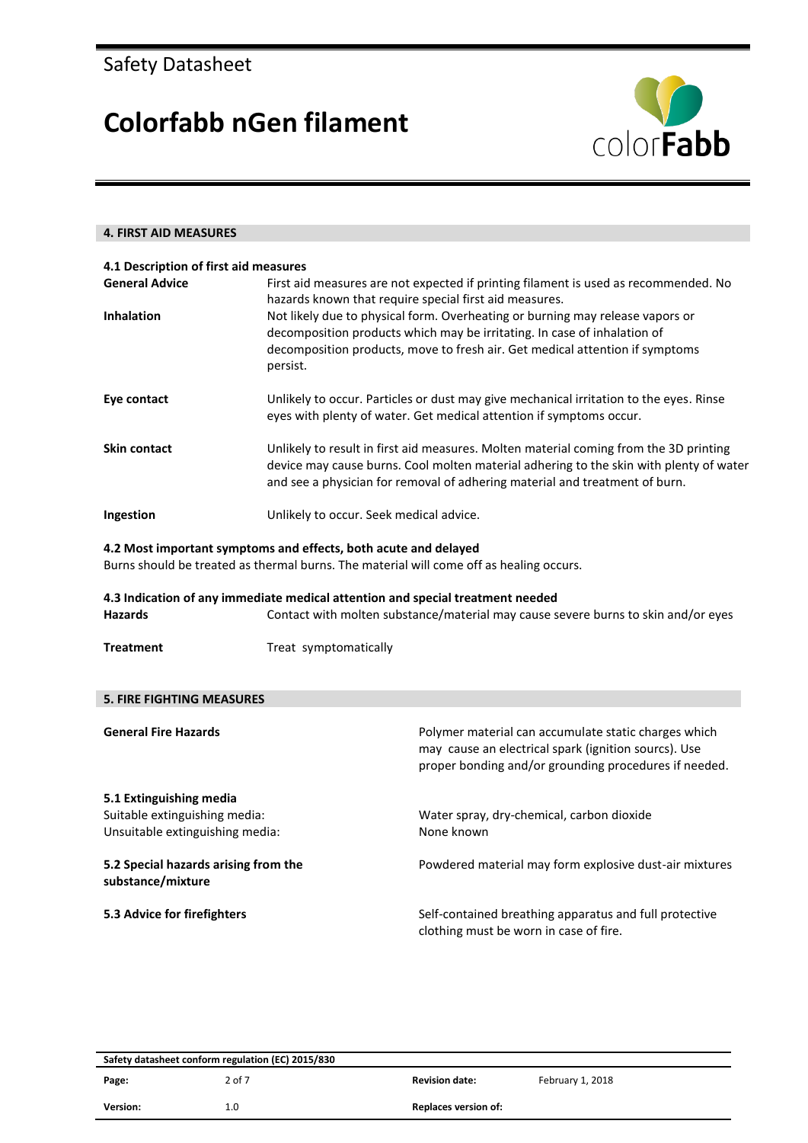

| <b>4. FIRST AID MEASURES</b>                                                                |                                                                                |                                                                                                                                                                                                                                                                                                                                                                                            |
|---------------------------------------------------------------------------------------------|--------------------------------------------------------------------------------|--------------------------------------------------------------------------------------------------------------------------------------------------------------------------------------------------------------------------------------------------------------------------------------------------------------------------------------------------------------------------------------------|
|                                                                                             |                                                                                |                                                                                                                                                                                                                                                                                                                                                                                            |
| 4.1 Description of first aid measures<br><b>General Advice</b><br><b>Inhalation</b>         | persist.                                                                       | First aid measures are not expected if printing filament is used as recommended. No<br>hazards known that require special first aid measures.<br>Not likely due to physical form. Overheating or burning may release vapors or<br>decomposition products which may be irritating. In case of inhalation of<br>decomposition products, move to fresh air. Get medical attention if symptoms |
| Eye contact                                                                                 |                                                                                | Unlikely to occur. Particles or dust may give mechanical irritation to the eyes. Rinse<br>eyes with plenty of water. Get medical attention if symptoms occur.                                                                                                                                                                                                                              |
| <b>Skin contact</b>                                                                         |                                                                                | Unlikely to result in first aid measures. Molten material coming from the 3D printing<br>device may cause burns. Cool molten material adhering to the skin with plenty of water<br>and see a physician for removal of adhering material and treatment of burn.                                                                                                                             |
| Ingestion                                                                                   | Unlikely to occur. Seek medical advice.                                        |                                                                                                                                                                                                                                                                                                                                                                                            |
|                                                                                             | 4.2 Most important symptoms and effects, both acute and delayed                | Burns should be treated as thermal burns. The material will come off as healing occurs.                                                                                                                                                                                                                                                                                                    |
| <b>Hazards</b>                                                                              | 4.3 Indication of any immediate medical attention and special treatment needed | Contact with molten substance/material may cause severe burns to skin and/or eyes                                                                                                                                                                                                                                                                                                          |
| <b>Treatment</b>                                                                            | Treat symptomatically                                                          |                                                                                                                                                                                                                                                                                                                                                                                            |
|                                                                                             |                                                                                |                                                                                                                                                                                                                                                                                                                                                                                            |
| <b>5. FIRE FIGHTING MEASURES</b>                                                            |                                                                                |                                                                                                                                                                                                                                                                                                                                                                                            |
| <b>General Fire Hazards</b>                                                                 |                                                                                | Polymer material can accumulate static charges which<br>may cause an electrical spark (ignition sourcs). Use<br>proper bonding and/or grounding procedures if needed.                                                                                                                                                                                                                      |
| 5.1 Extinguishing media<br>Suitable extinguishing media:<br>Unsuitable extinguishing media: |                                                                                | Water spray, dry-chemical, carbon dioxide<br>None known                                                                                                                                                                                                                                                                                                                                    |
| 5.2 Special hazards arising from the<br>substance/mixture                                   |                                                                                | Powdered material may form explosive dust-air mixtures                                                                                                                                                                                                                                                                                                                                     |
| 5.3 Advice for firefighters                                                                 |                                                                                | Self-contained breathing apparatus and full protective<br>clothing must be worn in case of fire.                                                                                                                                                                                                                                                                                           |
|                                                                                             |                                                                                |                                                                                                                                                                                                                                                                                                                                                                                            |

| Safety datasheet conform regulation (EC) 2015/830 |        |                             |                  |
|---------------------------------------------------|--------|-----------------------------|------------------|
| Page:                                             | 2 of 7 | <b>Revision date:</b>       | February 1, 2018 |
| <b>Version:</b>                                   | 1.0    | <b>Replaces version of:</b> |                  |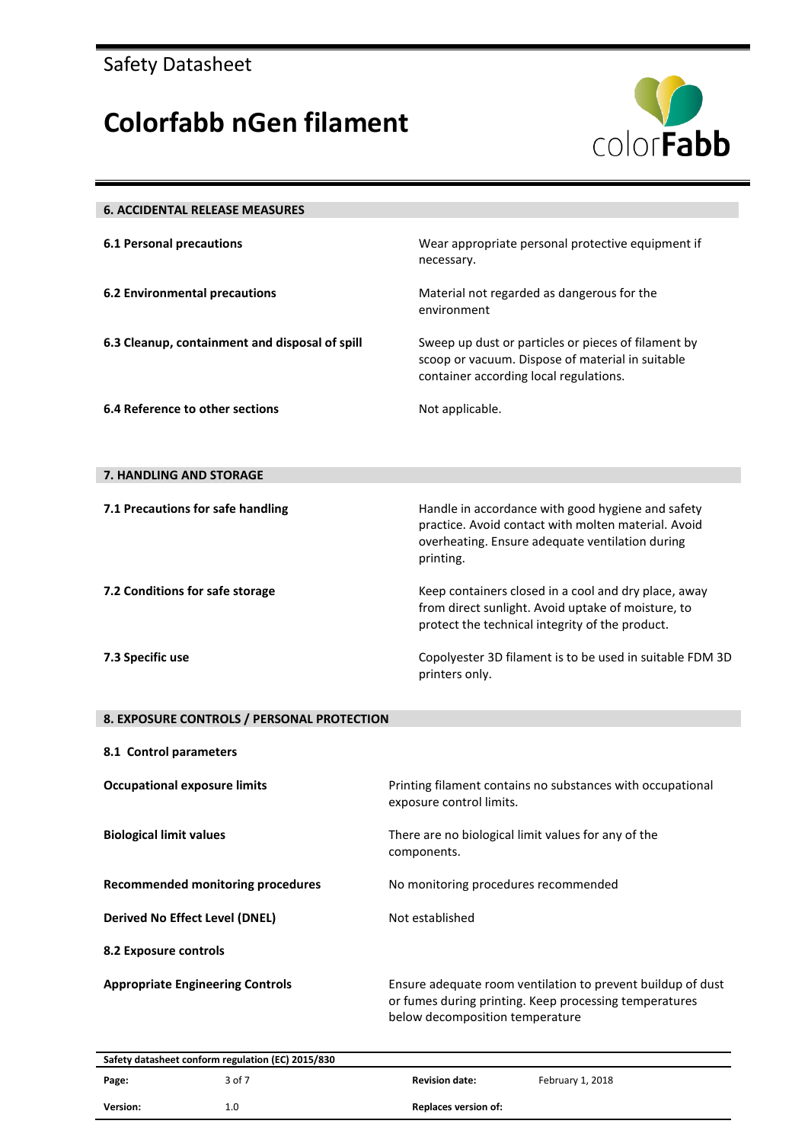

| <b>6. ACCIDENTAL RELEASE MEASURES</b>             |                                                                                                                                                                          |
|---------------------------------------------------|--------------------------------------------------------------------------------------------------------------------------------------------------------------------------|
| <b>6.1 Personal precautions</b>                   | Wear appropriate personal protective equipment if<br>necessary.                                                                                                          |
| <b>6.2 Environmental precautions</b>              | Material not regarded as dangerous for the<br>environment                                                                                                                |
| 6.3 Cleanup, containment and disposal of spill    | Sweep up dust or particles or pieces of filament by<br>scoop or vacuum. Dispose of material in suitable<br>container according local regulations.                        |
| 6.4 Reference to other sections                   | Not applicable.                                                                                                                                                          |
| 7. HANDLING AND STORAGE                           |                                                                                                                                                                          |
| 7.1 Precautions for safe handling                 | Handle in accordance with good hygiene and safety<br>practice. Avoid contact with molten material. Avoid<br>overheating. Ensure adequate ventilation during<br>printing. |
| 7.2 Conditions for safe storage                   | Keep containers closed in a cool and dry place, away<br>from direct sunlight. Avoid uptake of moisture, to<br>protect the technical integrity of the product.            |
| 7.3 Specific use                                  | Copolyester 3D filament is to be used in suitable FDM 3D<br>printers only.                                                                                               |
| 8. EXPOSURE CONTROLS / PERSONAL PROTECTION        |                                                                                                                                                                          |
| 8.1 Control parameters                            |                                                                                                                                                                          |
| <b>Occupational exposure limits</b>               | Printing filament contains no substances with occupational<br>exposure control limits.                                                                                   |
| <b>Biological limit values</b>                    | There are no biological limit values for any of the<br>components.                                                                                                       |
| <b>Recommended monitoring procedures</b>          | No monitoring procedures recommended                                                                                                                                     |
| <b>Derived No Effect Level (DNEL)</b>             | Not established                                                                                                                                                          |
| 8.2 Exposure controls                             |                                                                                                                                                                          |
| <b>Appropriate Engineering Controls</b>           | Ensure adequate room ventilation to prevent buildup of dust<br>or fumes during printing. Keep processing temperatures<br>below decomposition temperature                 |
| Safety datasheet conform regulation (EC) 2015/830 |                                                                                                                                                                          |

| Page:    | <b>Salety datasheet comonic regulation (LC) 2013/030</b><br>3 of 7 | <b>Revision date:</b>       | February 1, 2018 |
|----------|--------------------------------------------------------------------|-----------------------------|------------------|
| Version: | 1.0                                                                | <b>Replaces version of:</b> |                  |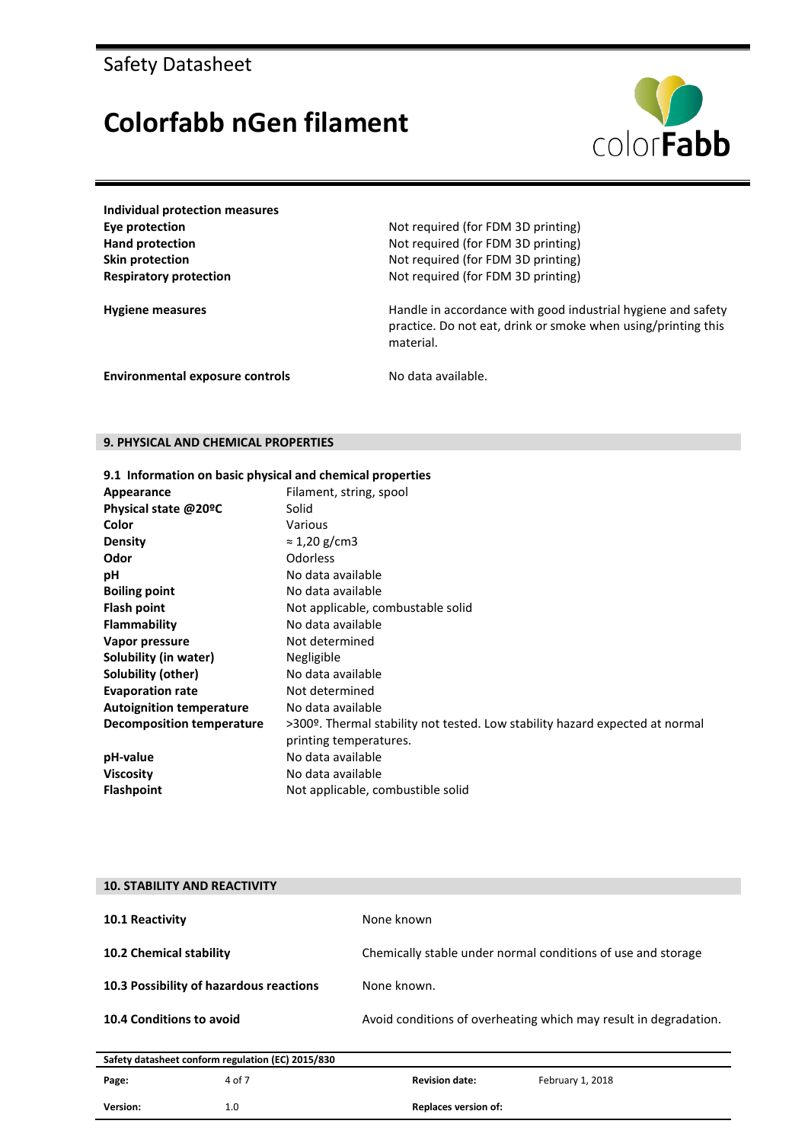### **Colorfabb nGen filament**



**Individual protection measures**

**Eye protection** Not required (for FDM 3D printing) Hand protection **Hand protection** Not required (for FDM 3D printing) **Skin protection** Not required (for FDM 3D printing) **Respiratory protection** Not required (for FDM 3D printing)

Hygiene measures **Handle in accordance with good industrial hygiene and safety** Handle in accordance with good industrial hygiene and safety practice. Do not eat, drink or smoke when using/printing this material.

**Environmental exposure controls** No data available.

#### **9. PHYSICAL AND CHEMICAL PROPERTIES**

|  | 9.1 Information on basic physical and chemical properties |  |  |  |  |  |
|--|-----------------------------------------------------------|--|--|--|--|--|
|--|-----------------------------------------------------------|--|--|--|--|--|

| Appearance                      | Filament, string, spool                                                      |
|---------------------------------|------------------------------------------------------------------------------|
| Physical state @20ºC            | Solid                                                                        |
| Color                           | Various                                                                      |
| <b>Density</b>                  | $\approx$ 1,20 g/cm3                                                         |
| Odor                            | Odorless                                                                     |
| рH                              | No data available                                                            |
| <b>Boiling point</b>            | No data available                                                            |
| Flash point                     | Not applicable, combustable solid                                            |
| <b>Flammability</b>             | No data available                                                            |
| Vapor pressure                  | Not determined                                                               |
| Solubility (in water)           | Negligible                                                                   |
| Solubility (other)              | No data available                                                            |
| <b>Evaporation rate</b>         | Not determined                                                               |
| <b>Autoignition temperature</b> | No data available                                                            |
| Decomposition temperature       | >300º. Thermal stability not tested. Low stability hazard expected at normal |
|                                 | printing temperatures.                                                       |
| pH-value                        | No data available                                                            |
| <b>Viscosity</b>                | No data available                                                            |
| <b>Flashpoint</b>               | Not applicable, combustible solid                                            |

| <b>10. STABILITY AND REACTIVITY</b>     |                                                   |                             |                                                                  |
|-----------------------------------------|---------------------------------------------------|-----------------------------|------------------------------------------------------------------|
| <b>10.1 Reactivity</b>                  |                                                   | None known                  |                                                                  |
| <b>10.2 Chemical stability</b>          |                                                   |                             | Chemically stable under normal conditions of use and storage     |
| 10.3 Possibility of hazardous reactions |                                                   | None known.                 |                                                                  |
| <b>10.4 Conditions to avoid</b>         |                                                   |                             | Avoid conditions of overheating which may result in degradation. |
|                                         |                                                   |                             |                                                                  |
|                                         | Safety datasheet conform regulation (EC) 2015/830 |                             |                                                                  |
| Page:                                   | 4 of 7                                            | <b>Revision date:</b>       | February 1, 2018                                                 |
| Version:                                | 1.0                                               | <b>Replaces version of:</b> |                                                                  |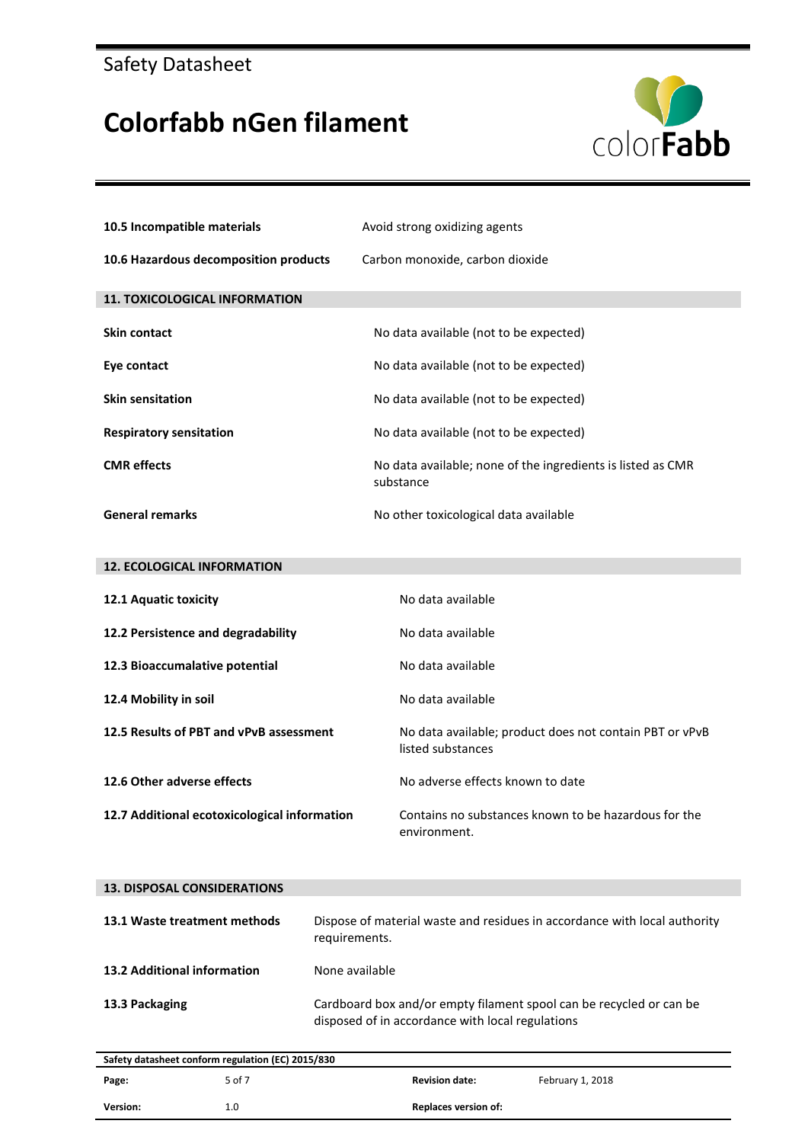

| 10.5 Incompatible materials                  | Avoid strong oxidizing agents                                                |
|----------------------------------------------|------------------------------------------------------------------------------|
| 10.6 Hazardous decomposition products        | Carbon monoxide, carbon dioxide                                              |
| <b>11. TOXICOLOGICAL INFORMATION</b>         |                                                                              |
| <b>Skin contact</b>                          | No data available (not to be expected)                                       |
| Eye contact                                  | No data available (not to be expected)                                       |
| <b>Skin sensitation</b>                      | No data available (not to be expected)                                       |
| <b>Respiratory sensitation</b>               | No data available (not to be expected)                                       |
| <b>CMR</b> effects                           | No data available; none of the ingredients is listed as CMR<br>substance     |
| <b>General remarks</b>                       | No other toxicological data available                                        |
|                                              |                                                                              |
| <b>12. ECOLOGICAL INFORMATION</b>            |                                                                              |
| 12.1 Aquatic toxicity                        | No data available                                                            |
| 12.2 Persistence and degradability           | No data available                                                            |
| 12.3 Bioaccumalative potential               | No data available                                                            |
| 12.4 Mobility in soil                        | No data available                                                            |
| 12.5 Results of PBT and vPvB assessment      | No data available; product does not contain PBT or vPvB<br>listed substances |
| 12.6 Other adverse effects                   | No adverse effects known to date                                             |
| 12.7 Additional ecotoxicological information | Contains no substances known to be hazardous for the<br>environment.         |

| Dispose of material waste and residues in accordance with local authority<br>13.1 Waste treatment methods<br>requirements.<br>13.2 Additional information<br>None available |  |
|-----------------------------------------------------------------------------------------------------------------------------------------------------------------------------|--|
|                                                                                                                                                                             |  |
|                                                                                                                                                                             |  |
| Cardboard box and/or empty filament spool can be recycled or can be<br>13.3 Packaging<br>disposed of in accordance with local regulations                                   |  |

| Safety datasheet conform regulation (EC) 2015/830 |        |                             |                  |  |  |
|---------------------------------------------------|--------|-----------------------------|------------------|--|--|
| Page:                                             | 5 of 7 | <b>Revision date:</b>       | February 1, 2018 |  |  |
| Version:                                          | 1.0    | <b>Replaces version of:</b> |                  |  |  |
|                                                   |        |                             |                  |  |  |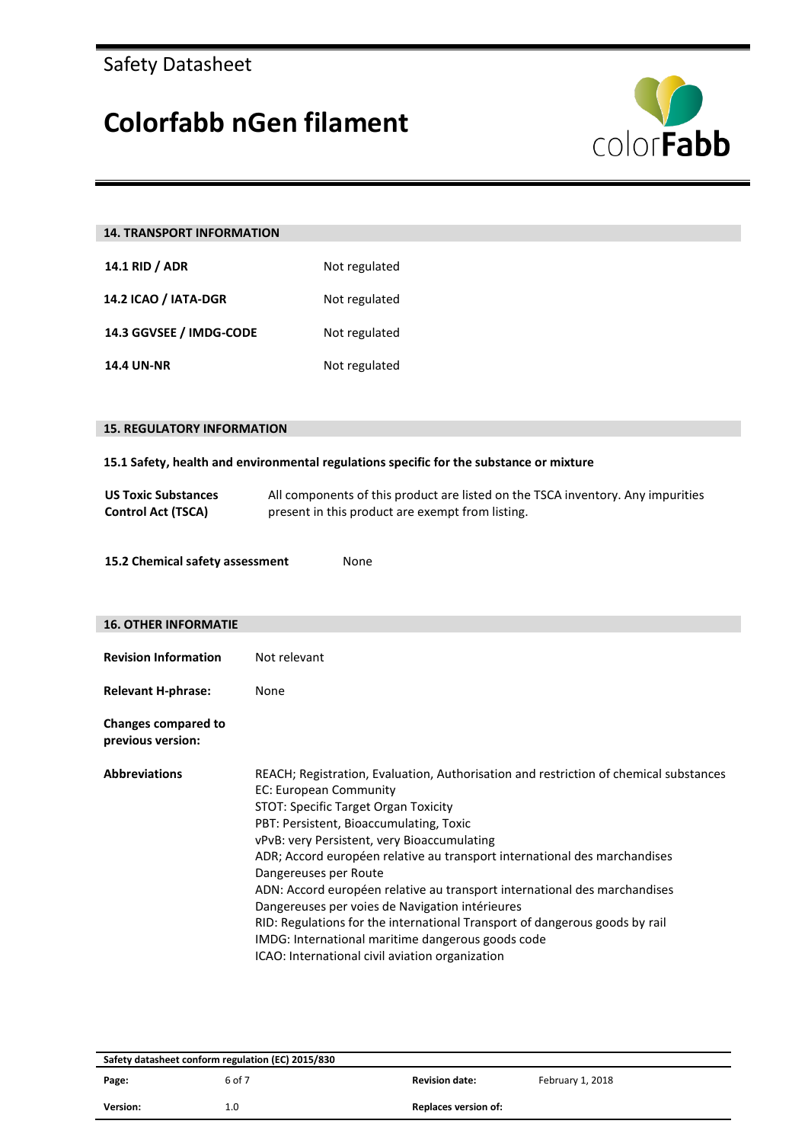

| <b>14. TRANSPORT INFORMATION</b>                                                        |                                                                                                                                                                                                                                                                                                                                                                                                                                                                                                                                                                                                                                                                                |  |  |  |  |
|-----------------------------------------------------------------------------------------|--------------------------------------------------------------------------------------------------------------------------------------------------------------------------------------------------------------------------------------------------------------------------------------------------------------------------------------------------------------------------------------------------------------------------------------------------------------------------------------------------------------------------------------------------------------------------------------------------------------------------------------------------------------------------------|--|--|--|--|
| 14.1 RID / ADR                                                                          | Not regulated                                                                                                                                                                                                                                                                                                                                                                                                                                                                                                                                                                                                                                                                  |  |  |  |  |
| 14.2 ICAO / IATA-DGR                                                                    | Not regulated                                                                                                                                                                                                                                                                                                                                                                                                                                                                                                                                                                                                                                                                  |  |  |  |  |
| 14.3 GGVSEE / IMDG-CODE                                                                 | Not regulated                                                                                                                                                                                                                                                                                                                                                                                                                                                                                                                                                                                                                                                                  |  |  |  |  |
| <b>14.4 UN-NR</b>                                                                       | Not regulated                                                                                                                                                                                                                                                                                                                                                                                                                                                                                                                                                                                                                                                                  |  |  |  |  |
|                                                                                         |                                                                                                                                                                                                                                                                                                                                                                                                                                                                                                                                                                                                                                                                                |  |  |  |  |
| <b>15. REGULATORY INFORMATION</b>                                                       |                                                                                                                                                                                                                                                                                                                                                                                                                                                                                                                                                                                                                                                                                |  |  |  |  |
| 15.1 Safety, health and environmental regulations specific for the substance or mixture |                                                                                                                                                                                                                                                                                                                                                                                                                                                                                                                                                                                                                                                                                |  |  |  |  |
| <b>US Toxic Substances</b><br><b>Control Act (TSCA)</b>                                 | All components of this product are listed on the TSCA inventory. Any impurities<br>present in this product are exempt from listing.                                                                                                                                                                                                                                                                                                                                                                                                                                                                                                                                            |  |  |  |  |
| 15.2 Chemical safety assessment<br>None                                                 |                                                                                                                                                                                                                                                                                                                                                                                                                                                                                                                                                                                                                                                                                |  |  |  |  |
| <b>16. OTHER INFORMATIE</b>                                                             |                                                                                                                                                                                                                                                                                                                                                                                                                                                                                                                                                                                                                                                                                |  |  |  |  |
| <b>Revision Information</b>                                                             | Not relevant                                                                                                                                                                                                                                                                                                                                                                                                                                                                                                                                                                                                                                                                   |  |  |  |  |
| <b>Relevant H-phrase:</b>                                                               | None                                                                                                                                                                                                                                                                                                                                                                                                                                                                                                                                                                                                                                                                           |  |  |  |  |
| <b>Changes compared to</b><br>previous version:                                         |                                                                                                                                                                                                                                                                                                                                                                                                                                                                                                                                                                                                                                                                                |  |  |  |  |
| <b>Abbreviations</b>                                                                    | REACH; Registration, Evaluation, Authorisation and restriction of chemical substances<br>EC: European Community<br>STOT: Specific Target Organ Toxicity<br>PBT: Persistent, Bioaccumulating, Toxic<br>vPvB: very Persistent, very Bioaccumulating<br>ADR; Accord européen relative au transport international des marchandises<br>Dangereuses per Route<br>ADN: Accord européen relative au transport international des marchandises<br>Dangereuses per voies de Navigation intérieures<br>RID: Regulations for the international Transport of dangerous goods by rail<br>IMDG: International maritime dangerous goods code<br>ICAO: International civil aviation organization |  |  |  |  |

| Safety datasheet conform regulation (EC) 2015/830 |        |                             |                  |  |  |
|---------------------------------------------------|--------|-----------------------------|------------------|--|--|
| Page:                                             | 6 of 7 | <b>Revision date:</b>       | February 1, 2018 |  |  |
| Version:                                          | 1.0    | <b>Replaces version of:</b> |                  |  |  |